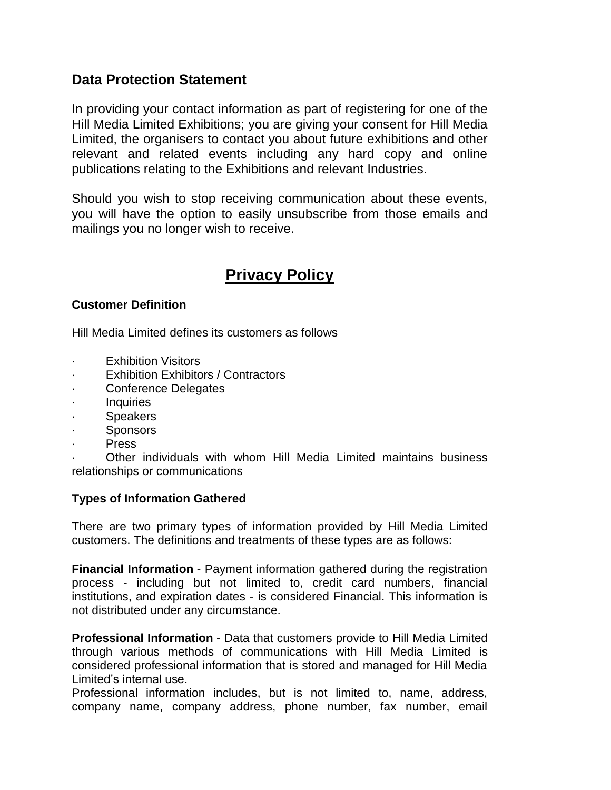## **Data Protection Statement**

In providing your contact information as part of registering for one of the Hill Media Limited Exhibitions; you are giving your consent for Hill Media Limited, the organisers to contact you about future exhibitions and other relevant and related events including any hard copy and online publications relating to the Exhibitions and relevant Industries.

Should you wish to stop receiving communication about these events, you will have the option to easily unsubscribe from those emails and mailings you no longer wish to receive.

# **Privacy Policy**

### **Customer Definition**

Hill Media Limited defines its customers as follows

- **Exhibition Visitors**
- · Exhibition Exhibitors / Contractors
- Conference Delegates
- · Inquiries
- **Speakers**
- · Sponsors
- · Press

· Other individuals with whom Hill Media Limited maintains business relationships or communications

#### **Types of Information Gathered**

There are two primary types of information provided by Hill Media Limited customers. The definitions and treatments of these types are as follows:

**Financial Information** - Payment information gathered during the registration process - including but not limited to, credit card numbers, financial institutions, and expiration dates - is considered Financial. This information is not distributed under any circumstance.

**Professional Information** - Data that customers provide to Hill Media Limited through various methods of communications with Hill Media Limited is considered professional information that is stored and managed for Hill Media Limited's internal use.

Professional information includes, but is not limited to, name, address, company name, company address, phone number, fax number, email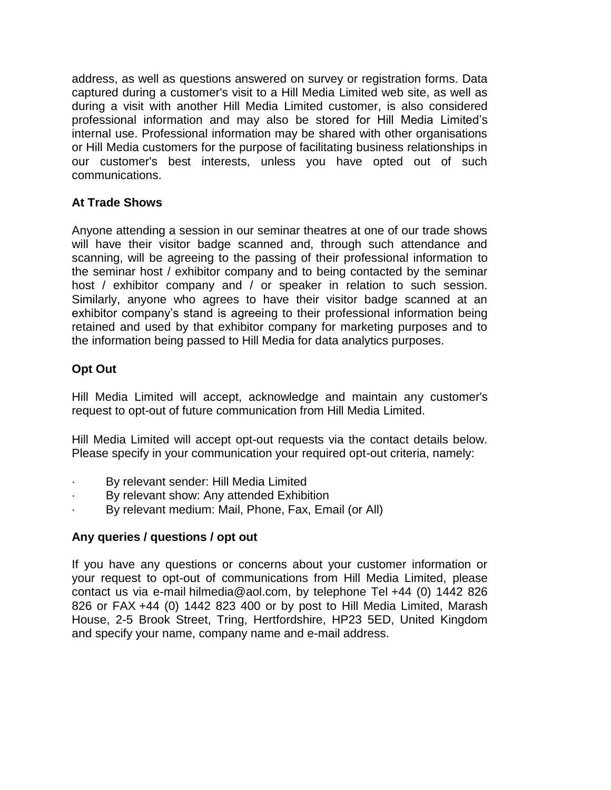address, as well as questions answered on survey or registration forms. Data captured during a customer's visit to a Hill Media Limited web site, as well as during a visit with another Hill Media Limited customer, is also considered professional information and may also be stored for Hill Media Limited's internal use. Professional information may be shared with other organisations or Hill Media customers for the purpose of facilitating business relationships in our customer's best interests, unless you have opted out of such communications.

## **At Trade Shows**

Anyone attending a session in our seminar theatres at one of our trade shows will have their visitor badge scanned and, through such attendance and scanning, will be agreeing to the passing of their professional information to the seminar host / exhibitor company and to being contacted by the seminar host / exhibitor company and / or speaker in relation to such session. Similarly, anyone who agrees to have their visitor badge scanned at an exhibitor company's stand is agreeing to their professional information being retained and used by that exhibitor company for marketing purposes and to the information being passed to Hill Media for data analytics purposes.

## **Opt Out**

Hill Media Limited will accept, acknowledge and maintain any customer's request to opt-out of future communication from Hill Media Limited.

Hill Media Limited will accept opt-out requests via the contact details below. Please specify in your communication your required opt-out criteria, namely:

- By relevant sender: Hill Media Limited
- By relevant show: Any attended Exhibition
- By relevant medium: Mail, Phone, Fax, Email (or All)

## **Any queries / questions / opt out**

If you have any questions or concerns about your customer information or your request to opt-out of communications from Hill Media Limited, please contact us via e-mail hilmedia@aol.com, by telephone Tel +44 (0) 1442 826 826 or FAX +44 (0) 1442 823 400 or by post to Hill Media Limited, Marash House, 2-5 Brook Street, Tring, Hertfordshire, HP23 5ED, United Kingdom and specify your name, company name and e-mail address.